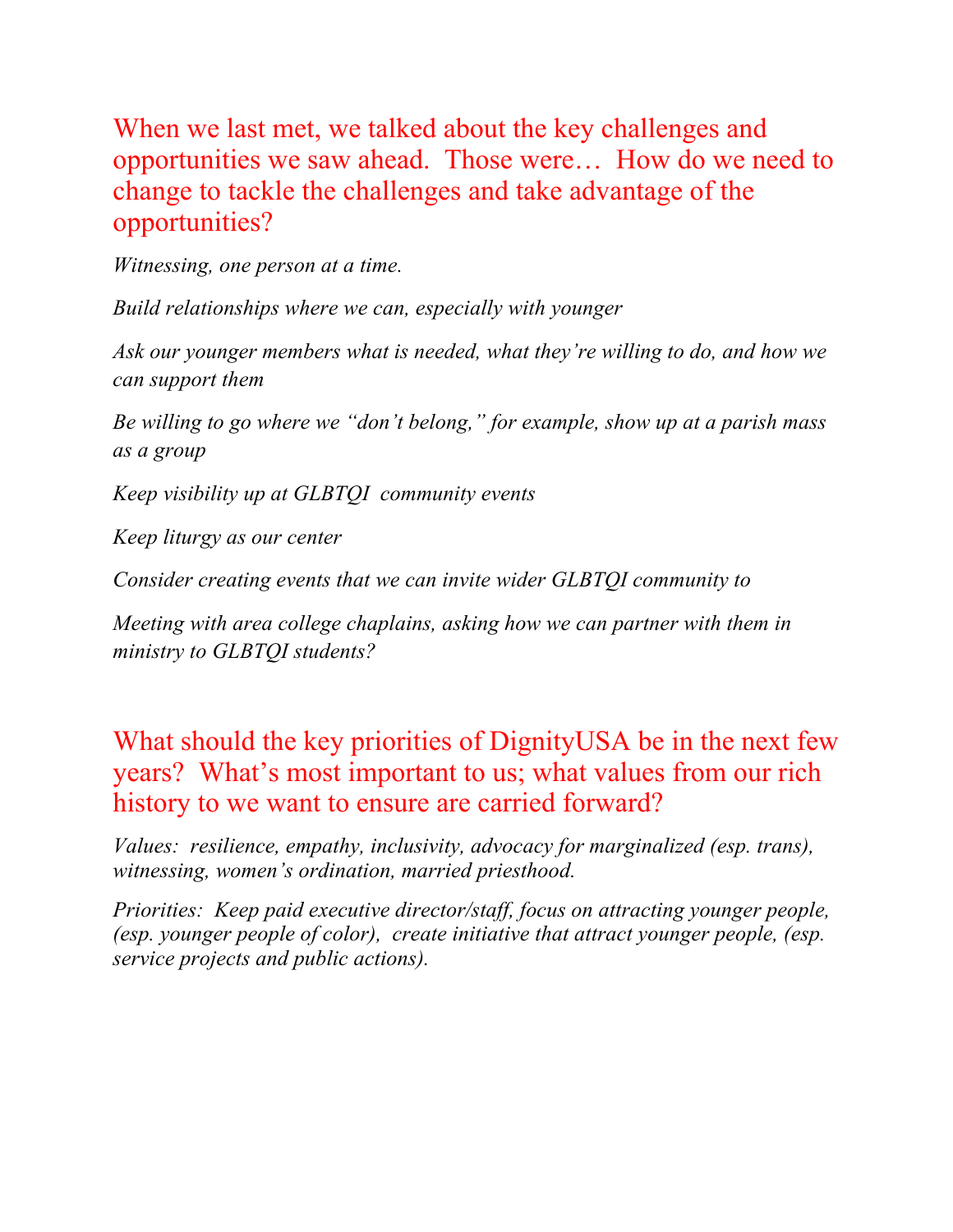When we last met, we talked about the key challenges and opportunities we saw ahead. Those were… How do we need to change to tackle the challenges and take advantage of the opportunities?

*Witnessing, one person at a time.*

*Build relationships where we can, especially with younger*

*Ask our younger members what is needed, what they're willing to do, and how we can support them*

*Be willing to go where we "don't belong," for example, show up at a parish mass as a group*

*Keep visibility up at GLBTQI community events* 

*Keep liturgy as our center*

*Consider creating events that we can invite wider GLBTQI community to*

*Meeting with area college chaplains, asking how we can partner with them in ministry to GLBTQI students?*

What should the key priorities of DignityUSA be in the next few years? What's most important to us; what values from our rich history to we want to ensure are carried forward?

*Values: resilience, empathy, inclusivity, advocacy for marginalized (esp. trans), witnessing, women's ordination, married priesthood.*

*Priorities: Keep paid executive director/staff, focus on attracting younger people, (esp. younger people of color), create initiative that attract younger people, (esp. service projects and public actions).*